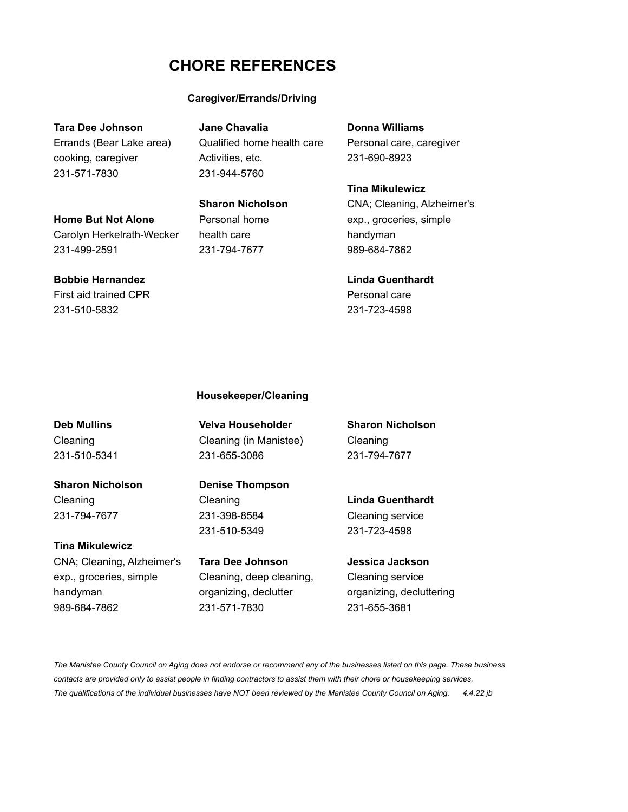# **CHORE REFERENCES**

### **Caregiver/Errands/Driving**

231-571-7830 231-944-5760

**Tara Dee Johnson Jane Chavalia Donna Williams** Errands (Bear Lake area) Qualified home health care Personal care, caregiver cooking, caregiver **Activities**, etc. 231-690-8923

**Tina Mikulewicz Sharon Nicholson** CNA; Cleaning, Alzheimer's **Home But Not Alone** Personal home exp., groceries, simple Carolyn Herkelrath-Wecker health care handyman 231-499-2591 231-794-7677 989-684-7862

## **Bobbie Hernandez Linda Guenthardt** First aid trained CPR **Personal care** 231-510-5832 231-723-4598

#### **Housekeeper/Cleaning**

**Sharon Nicholson Denise Thompson** Cleaning Cleaning **Linda Guenthardt** 231-794-7677 231-398-8584 Cleaning service

## **Tina Mikulewicz** CNA; Cleaning, Alzheimer's **Tara Dee Johnson Jessica Jackson** exp., groceries, simple Cleaning, deep cleaning, Cleaning service

Cleaning Cleaning (in Manistee) Cleaning 231-510-5341 231-655-3086 231-794-7677

231-510-5349 231-723-4598

handyman organizing, declutter organizing, decluttering 989-684-7862 231-571-7830 231-655-3681

**Deb Mullins Velva Householder Sharon Nicholson**

*The Manistee County Council on Aging does not endorse or recommend any of the businesses listed on this page. These business contacts are provided only to assist people in finding contractors to assist them with their chore or housekeeping services. The qualifications of the individual businesses have NOT been reviewed by the Manistee County Council on Aging. 4.4.22 jb*